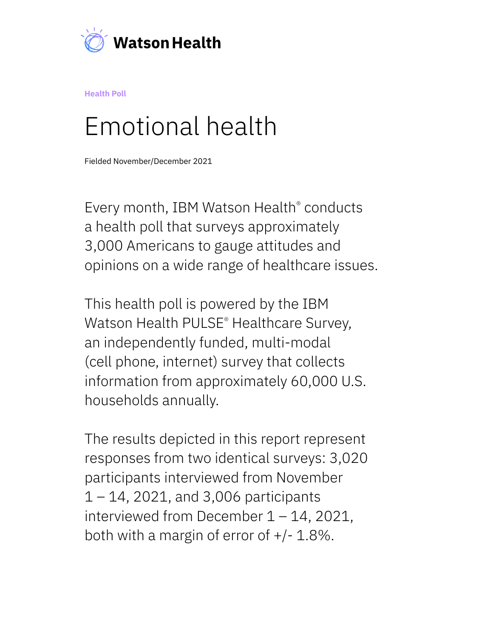

**Health Poll**

# Emotional health

Fielded November/December 2021

Every month, IBM Watson Health® conducts a health poll that surveys approximately 3,000 Americans to gauge attitudes and opinions on a wide range of healthcare issues.

This health poll is powered by the IBM Watson Health PULSE® Healthcare Survey, an independently funded, multi-modal (cell phone, internet) survey that collects information from approximately 60,000 U.S. households annually.

The results depicted in this report represent responses from two identical surveys: 3,020 participants interviewed from November  $1 - 14$ , 2021, and 3,006 participants interviewed from December  $1 - 14$ , 2021, both with a margin of error of  $+/- 1.8\%$ .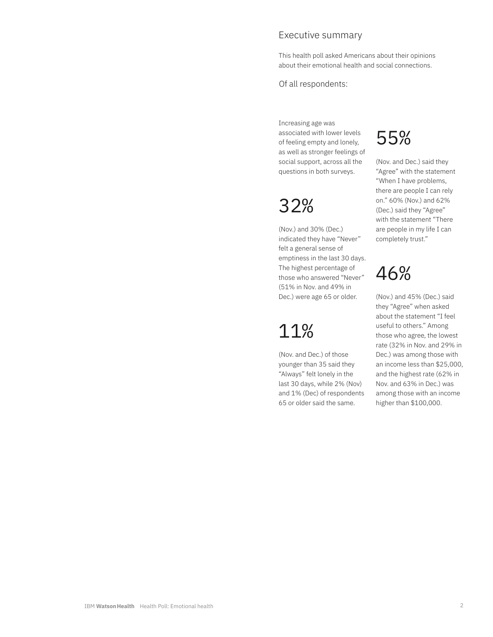### Executive summary

This health poll asked Americans about their opinions about their emotional health and social connections.

Of all respondents:

Increasing age was associated with lower levels of feeling empty and lonely, as well as stronger feelings of social support, across all the questions in both surveys.

### 32%

(Nov.) and 30% (Dec.) indicated they have "Never" felt a general sense of emptiness in the last 30 days. The highest percentage of those who answered "Never" (51% in Nov. and 49% in Dec.) were age 65 or older.

### 11%

(Nov. and Dec.) of those younger than 35 said they "Always" felt lonely in the last 30 days, while 2% (Nov) and 1% (Dec) of respondents 65 or older said the same.

### 55%

(Nov. and Dec.) said they "Agree" with the statement "When I have problems, there are people I can rely on." 60% (Nov.) and 62% (Dec.) said they "Agree" with the statement "There are people in my life I can completely trust."

## 46%

(Nov.) and 45% (Dec.) said they "Agree" when asked about the statement "I feel useful to others." Among those who agree, the lowest rate (32% in Nov. and 29% in Dec.) was among those with an income less than \$25,000, and the highest rate (62% in Nov. and 63% in Dec.) was among those with an income higher than \$100,000.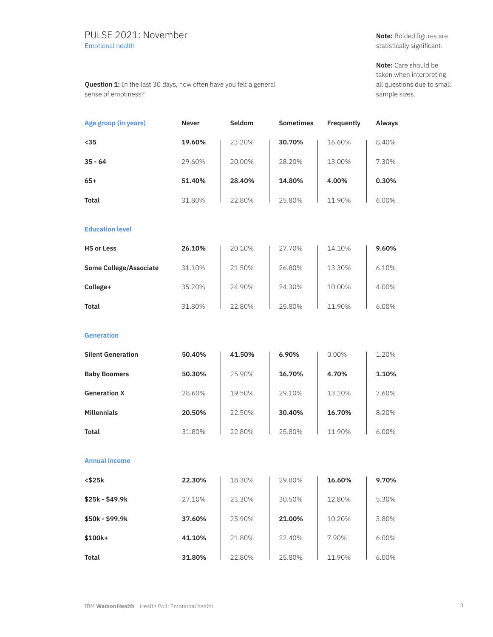#### PULSE 2021: November Emotional health

**Question 1:** In the last 30 days, how often have you felt a general sense of emptiness?

**Note:** Bolded figures are statistically significant.

**Note:** Care should be taken when interpreting all questions due to small sample sizes.

| Age group (in years)          | Never  | Seldom | <b>Sometimes</b> | Frequently | Always |
|-------------------------------|--------|--------|------------------|------------|--------|
| $35$                          | 19.60% | 23.20% | 30.70%           | 16.60%     | 8.40%  |
| $35 - 64$                     | 29.60% | 20.00% | 28.20%           | 13.00%     | 7.30%  |
| $65+$                         | 51.40% | 28.40% | 14.80%           | 4.00%      | 0.30%  |
| <b>Total</b>                  | 31.80% | 22.80% | 25.80%           | 11.90%     | 6.00%  |
| <b>Education level</b>        |        |        |                  |            |        |
| <b>HS or Less</b>             | 26.10% | 20.10% | 27.70%           | 14.10%     | 9.60%  |
| <b>Some College/Associate</b> | 31.10% | 21.50% | 26.80%           | 13.30%     | 6.10%  |
| College+                      | 35.20% | 24.90% | 24.30%           | 10.00%     | 4.00%  |
| <b>Total</b>                  | 31.80% | 22.80% | 25.80%           | 11.90%     | 6.00%  |
| <b>Generation</b>             |        |        |                  |            |        |
| <b>Silent Generation</b>      | 50.40% | 41.50% | 6.90%            | 0.00%      | 1.20%  |
| <b>Baby Boomers</b>           | 50.30% | 25.90% | 16.70%           | 4.70%      | 1.10%  |
| <b>Generation X</b>           | 28.60% | 19.50% | 29.10%           | 13.10%     | 7.60%  |
| <b>Millennials</b>            | 20.50% | 22.50% | 30.40%           | 16.70%     | 8.20%  |
| <b>Total</b>                  | 31.80% | 22.80% | 25.80%           | 11.90%     | 6.00%  |
| <b>Annual income</b>          |        |        |                  |            |        |
| <\$25k                        | 22.30% | 18.30% | 29.80%           | 16.60%     | 9.70%  |
| \$25k - \$49.9k               | 27.10% | 23.30% | 30.50%           | 12.80%     | 5.30%  |
| \$50k - \$99.9k               | 37.60% | 25.90% | 21.00%           | 10.20%     | 3.80%  |
| $$100k+$                      | 41.10% | 21.80% | 22.40%           | 7.90%      | 6.00%  |
| Total                         | 31.80% | 22.80% | 25.80%           | 11.90%     | 6.00%  |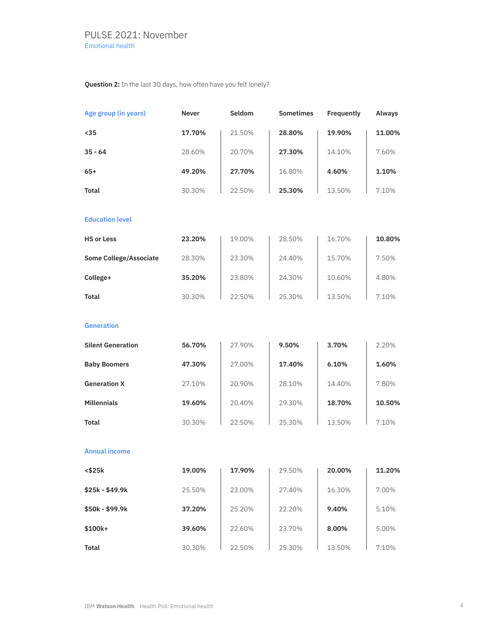#### **Question 2:** In the last 30 days, how often have you felt lonely?

| Age group (in years)          | Never  | Seldom | <b>Sometimes</b> | Frequently | Always |
|-------------------------------|--------|--------|------------------|------------|--------|
| $35$                          | 17.70% | 21.50% | 28.80%           | 19.90%     | 11.00% |
| $35 - 64$                     | 28.60% | 20.70% | 27.30%           | 14.10%     | 7.60%  |
| $65+$                         | 49.20% | 27.70% | 16.80%           | 4.60%      | 1.10%  |
| <b>Total</b>                  | 30.30% | 22.50% | 25.30%           | 13.50%     | 7.10%  |
| <b>Education level</b>        |        |        |                  |            |        |
| <b>HS or Less</b>             | 23.20% | 19.00% | 28.50%           | 16.70%     | 10.80% |
| <b>Some College/Associate</b> | 28.30% | 23.30% | 24.40%           | 15.70%     | 7.50%  |
| College+                      | 35.20% | 23.80% | 24.30%           | 10.60%     | 4.80%  |
| <b>Total</b>                  | 30.30% | 22.50% | 25.30%           | 13.50%     | 7.10%  |
| <b>Generation</b>             |        |        |                  |            |        |
| <b>Silent Generation</b>      | 56.70% | 27.90% | 9.50%            | 3.70%      | 2.20%  |
| <b>Baby Boomers</b>           | 47.30% | 27.00% | 17.40%           | 6.10%      | 1.60%  |
| <b>Generation X</b>           | 27.10% | 20.90% | 28.10%           | 14.40%     | 7.80%  |
| <b>Millennials</b>            | 19.60% | 20.40% | 29.30%           | 18.70%     | 10.50% |
| <b>Total</b>                  | 30.30% | 22.50% | 25.30%           | 13.50%     | 7.10%  |
| <b>Annual income</b>          |        |        |                  |            |        |
| <\$25k                        | 19.00% | 17.90% | 29.50%           | 20.00%     | 11.20% |
| \$25k - \$49.9k               | 25.50% | 23.00% | 27.40%           | 16.30%     | 7.00%  |
| \$50k - \$99.9k               | 37.20% | 25.20% | 22.20%           | 9.40%      | 5.10%  |
| $$100k+$                      | 39.60% | 22.60% | 23.70%           | 8.00%      | 5.00%  |
| Total                         | 30.30% | 22.50% | 25.30%           | 13.50%     | 7.10%  |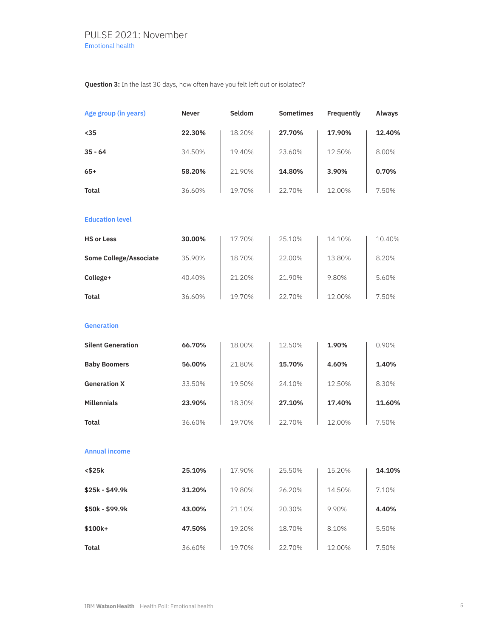#### **Question 3:** In the last 30 days, how often have you felt left out or isolated?

| Age group (in years)          | Never  | Seldom | <b>Sometimes</b> | Frequently | Always |
|-------------------------------|--------|--------|------------------|------------|--------|
| $35$                          | 22.30% | 18.20% | 27.70%           | 17.90%     | 12.40% |
| $35 - 64$                     | 34.50% | 19.40% | 23.60%           | 12.50%     | 8.00%  |
| $65+$                         | 58.20% | 21.90% | 14.80%           | 3.90%      | 0.70%  |
| <b>Total</b>                  | 36.60% | 19.70% | 22.70%           | 12.00%     | 7.50%  |
| <b>Education level</b>        |        |        |                  |            |        |
| <b>HS or Less</b>             | 30.00% | 17.70% | 25.10%           | 14.10%     | 10.40% |
| <b>Some College/Associate</b> | 35.90% | 18.70% | 22.00%           | 13.80%     | 8.20%  |
| College+                      | 40.40% | 21.20% | 21.90%           | 9.80%      | 5.60%  |
| <b>Total</b>                  | 36.60% | 19.70% | 22.70%           | 12.00%     | 7.50%  |
| <b>Generation</b>             |        |        |                  |            |        |
| <b>Silent Generation</b>      | 66.70% | 18.00% | 12.50%           | 1.90%      | 0.90%  |
| <b>Baby Boomers</b>           | 56.00% | 21.80% | 15.70%           | 4.60%      | 1.40%  |
| <b>Generation X</b>           | 33.50% | 19.50% | 24.10%           | 12.50%     | 8.30%  |
| <b>Millennials</b>            | 23.90% | 18.30% | 27.10%           | 17.40%     | 11.60% |
| <b>Total</b>                  | 36.60% | 19.70% | 22.70%           | 12.00%     | 7.50%  |
| <b>Annual income</b>          |        |        |                  |            |        |
| <\$25k                        | 25.10% | 17.90% | 25.50%           | 15.20%     | 14.10% |
| $$25k - $49.9k$               | 31.20% | 19.80% | 26.20%           | 14.50%     | 7.10%  |
| \$50k - \$99.9k               | 43.00% | 21.10% | 20.30%           | 9.90%      | 4.40%  |
| $$100k+$                      | 47.50% | 19.20% | 18.70%           | 8.10%      | 5.50%  |
| <b>Total</b>                  | 36.60% | 19.70% | 22.70%           | 12.00%     | 7.50%  |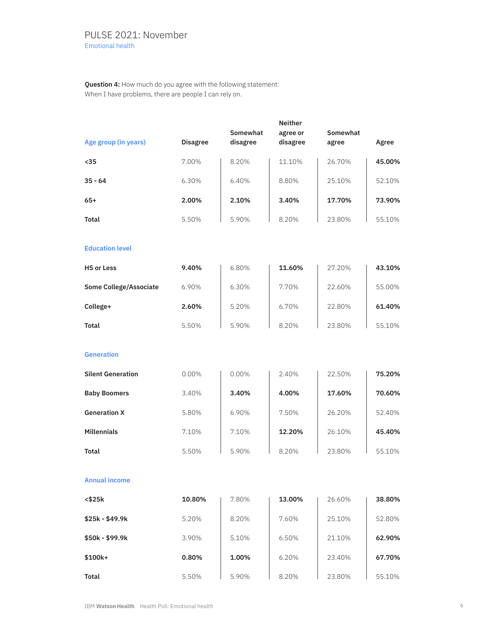**Question 4:** How much do you agree with the following statement: When I have problems, there are people I can rely on.

|                               |                 |          | <b>Neither</b> |                 |        |
|-------------------------------|-----------------|----------|----------------|-----------------|--------|
|                               |                 | Somewhat | agree or       | <b>Somewhat</b> |        |
| Age group (in years)          | <b>Disagree</b> | disagree | disagree       | agree           | Agree  |
| $35$                          | 7.00%           | 8.20%    | 11.10%         | 26.70%          | 45.00% |
| $35 - 64$                     | 6.30%           | 6.40%    | 8.80%          | 25.10%          | 52.10% |
| 65+                           | 2.00%           | 2.10%    | 3.40%          | 17.70%          | 73.90% |
| Total                         | 5.50%           | 5.90%    | 8.20%          | 23.80%          | 55.10% |
| <b>Education level</b>        |                 |          |                |                 |        |
| <b>HS or Less</b>             | 9.40%           | 6.80%    | 11.60%         | 27.20%          | 43.10% |
| <b>Some College/Associate</b> | 6.90%           | 6.30%    | 7.70%          | 22.60%          | 55.00% |
| College+                      | 2.60%           | 5.20%    | 6.70%          | 22.80%          | 61.40% |
| <b>Total</b>                  | 5.50%           | 5.90%    | 8.20%          | 23.80%          | 55.10% |
| <b>Generation</b>             |                 |          |                |                 |        |
|                               |                 |          |                |                 |        |
| <b>Silent Generation</b>      | 0.00%           | 0.00%    | 2.40%          | 22.50%          | 75.20% |
| <b>Baby Boomers</b>           | 3.40%           | 3.40%    | 4.00%          | 17.60%          | 70.60% |
| <b>Generation X</b>           | 5.80%           | 6.90%    | 7.50%          | 26.20%          | 52.40% |
| <b>Millennials</b>            | 7.10%           | 7.10%    | 12.20%         | 26.10%          | 45.40% |
| <b>Total</b>                  | 5.50%           | 5.90%    | 8.20%          | 23.80%          | 55.10% |
| <b>Annual income</b>          |                 |          |                |                 |        |
| $<$ \$25 $k$                  | 10.80%          | 7.80%    | 13.00%         | 26.60%          | 38.80% |
| \$25k - \$49.9k               | 5.20%           | 8.20%    | 7.60%          | 25.10%          | 52.80% |
| \$50k - \$99.9k               | 3.90%           | 5.10%    | 6.50%          | 21.10%          | 62.90% |
| \$100k+                       | 0.80%           | 1.00%    | 6.20%          | 23.40%          | 67.70% |
| <b>Total</b>                  | 5.50%           | 5.90%    | 8.20%          | 23.80%          | 55.10% |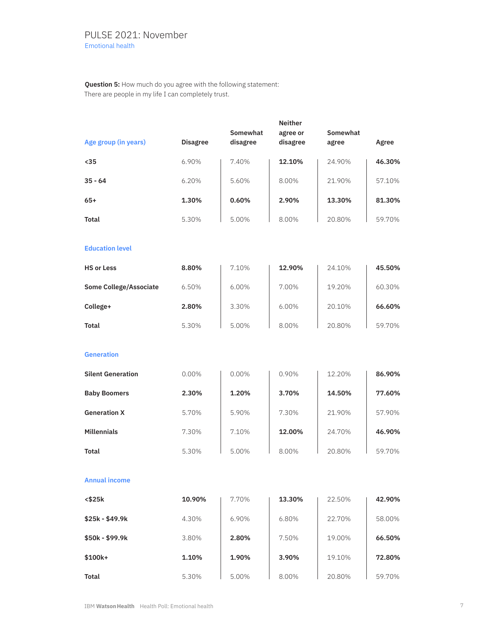**Question 5:** How much do you agree with the following statement: There are people in my life I can completely trust.

|                               |                 |          | <b>Neither</b> |          |        |
|-------------------------------|-----------------|----------|----------------|----------|--------|
|                               |                 | Somewhat | agree or       | Somewhat |        |
| Age group (in years)          | <b>Disagree</b> | disagree | disagree       | agree    | Agree  |
| $35$                          | 6.90%           | 7.40%    | 12.10%         | 24.90%   | 46.30% |
| $35 - 64$                     | 6.20%           | 5.60%    | 8.00%          | 21.90%   | 57.10% |
| $65+$                         | 1.30%           | 0.60%    | 2.90%          | 13.30%   | 81.30% |
| <b>Total</b>                  | 5.30%           | 5.00%    | 8.00%          | 20.80%   | 59.70% |
| <b>Education level</b>        |                 |          |                |          |        |
| <b>HS or Less</b>             | 8.80%           | 7.10%    | 12.90%         | 24.10%   | 45.50% |
| <b>Some College/Associate</b> | 6.50%           | 6.00%    | 7.00%          | 19.20%   | 60.30% |
| College+                      | 2.80%           | 3.30%    | 6.00%          | 20.10%   | 66.60% |
| <b>Total</b>                  | 5.30%           | 5.00%    | 8.00%          | 20.80%   | 59.70% |
| <b>Generation</b>             |                 |          |                |          |        |
| <b>Silent Generation</b>      | 0.00%           | 0.00%    | 0.90%          | 12.20%   | 86.90% |
| <b>Baby Boomers</b>           | 2.30%           | 1.20%    | 3.70%          | 14.50%   | 77.60% |
| <b>Generation X</b>           | 5.70%           | 5.90%    | 7.30%          | 21.90%   | 57.90% |
| <b>Millennials</b>            | 7.30%           | 7.10%    | 12.00%         | 24.70%   | 46.90% |
| <b>Total</b>                  | 5.30%           | 5.00%    | 8.00%          | 20.80%   | 59.70% |
| <b>Annual income</b>          |                 |          |                |          |        |
| $<$ \$25 $k$                  | 10.90%          | 7.70%    | 13.30%         | 22.50%   | 42.90% |
| \$25k - \$49.9k               | 4.30%           | 6.90%    | 6.80%          | 22.70%   | 58.00% |
| \$50k - \$99.9k               | 3.80%           | 2.80%    | 7.50%          | 19.00%   | 66.50% |
| \$100k+                       | 1.10%           | 1.90%    | 3.90%          | 19.10%   | 72.80% |
| <b>Total</b>                  | 5.30%           | 5.00%    | 8.00%          | 20.80%   | 59.70% |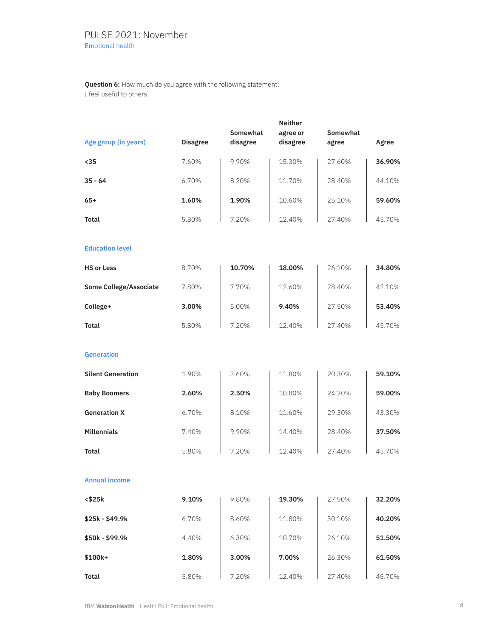**Question 6:** How much do you agree with the following statement: I feel useful to others.

|                               |                 |          | <b>Neither</b> |          |        |
|-------------------------------|-----------------|----------|----------------|----------|--------|
|                               |                 | Somewhat | agree or       | Somewhat |        |
| Age group (in years)          | <b>Disagree</b> | disagree | disagree       | agree    | Agree  |
|                               |                 |          |                |          |        |
| $35$                          | 7.60%           | 9.90%    | 15.30%         | 27.60%   | 36.90% |
|                               |                 |          |                |          |        |
| $35 - 64$                     | 6.70%           | 8.20%    | 11.70%         | 28.40%   | 44.10% |
| $65+$                         | 1.60%           | 1.90%    | 10.60%         | 25.10%   | 59.60% |
|                               |                 |          |                |          |        |
| <b>Total</b>                  | 5.80%           | 7.20%    | 12.40%         | 27.40%   | 45.70% |
|                               |                 |          |                |          |        |
|                               |                 |          |                |          |        |
| <b>Education level</b>        |                 |          |                |          |        |
|                               |                 |          |                |          |        |
| <b>HS or Less</b>             | 8.70%           | 10.70%   | 18.00%         | 26.10%   | 34.80% |
| <b>Some College/Associate</b> | 7.80%           | 7.70%    | 12.60%         | 28.40%   | 42.10% |
|                               |                 |          |                |          |        |
| College+                      | 3.00%           | 5.00%    | 9.40%          | 27.50%   | 53.40% |
|                               |                 |          |                |          |        |
| <b>Total</b>                  | 5.80%           | 7.20%    | 12.40%         | 27.40%   | 45.70% |
|                               |                 |          |                |          |        |
|                               |                 |          |                |          |        |
| <b>Generation</b>             |                 |          |                |          |        |
|                               |                 |          |                |          |        |
| <b>Silent Generation</b>      | 1.90%           | 3.60%    | 11.80%         | 20.30%   | 59.10% |
| <b>Baby Boomers</b>           | 2.60%           | 2.50%    | 10.80%         | 24.20%   | 59.00% |
|                               |                 |          |                |          |        |
| <b>Generation X</b>           | 6.70%           | 8.10%    | 11.60%         | 29.30%   | 43.30% |
|                               |                 |          |                |          |        |
| <b>Millennials</b>            | 7.40%           | 9.90%    | 14.40%         | 28.40%   | 37.50% |
|                               |                 |          |                |          |        |
| <b>Total</b>                  | 5.80%           | 7.20%    | 12.40%         | 27.40%   | 45.70% |
|                               |                 |          |                |          |        |
|                               |                 |          |                |          |        |
| <b>Annual income</b>          |                 |          |                |          |        |
| $<$ \$25 $k$                  | 9.10%           | 9.80%    | 19.30%         | 27.50%   | 32.20% |
|                               |                 |          |                |          |        |
| \$25k - \$49.9k               | 6.70%           | 8.60%    | 11.80%         | 30.10%   | 40.20% |
|                               |                 |          |                |          |        |
| \$50k - \$99.9k               | 4.40%           | 6.30%    | 10.70%         | 26.10%   | 51.50% |
|                               |                 |          |                |          |        |
| \$100k+                       | 1.80%           | 3.00%    | 7.00%          | 26.30%   | 61.50% |
|                               |                 |          |                | 27.40%   |        |
| <b>Total</b>                  | 5.80%           | 7.20%    | 12.40%         |          | 45.70% |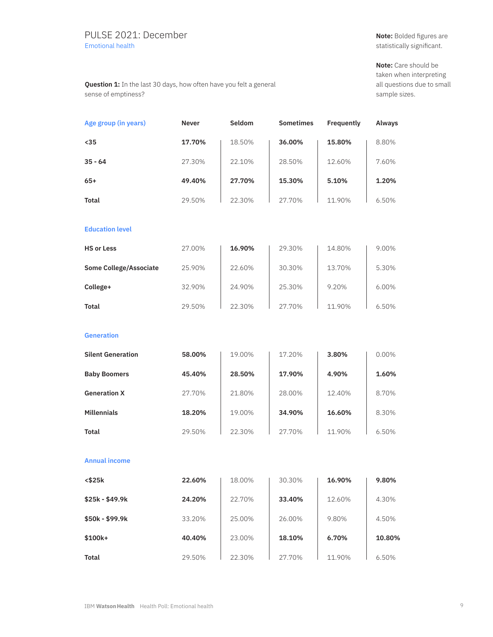#### PULSE 2021: December Emotional health

**Question 1:** In the last 30 days, how often have you felt a general sense of emptiness?

**Note:** Bolded figures are statistically significant.

**Note:** Care should be taken when interpreting all questions due to small sample sizes.

| Age group (in years)          | <b>Never</b> | Seldom | <b>Sometimes</b> | Frequently | Always |
|-------------------------------|--------------|--------|------------------|------------|--------|
| $35$                          | 17.70%       | 18.50% | 36.00%           | 15.80%     | 8.80%  |
| $35 - 64$                     | 27.30%       | 22.10% | 28.50%           | 12.60%     | 7.60%  |
| $65+$                         | 49.40%       | 27.70% | 15.30%           | 5.10%      | 1.20%  |
| <b>Total</b>                  | 29.50%       | 22.30% | 27.70%           | 11.90%     | 6.50%  |
| <b>Education level</b>        |              |        |                  |            |        |
| <b>HS or Less</b>             | 27.00%       | 16.90% | 29.30%           | 14.80%     | 9.00%  |
| <b>Some College/Associate</b> | 25.90%       | 22.60% | 30.30%           | 13.70%     | 5.30%  |
| College+                      | 32.90%       | 24.90% | 25.30%           | 9.20%      | 6.00%  |
| <b>Total</b>                  | 29.50%       | 22.30% | 27.70%           | 11.90%     | 6.50%  |
| <b>Generation</b>             |              |        |                  |            |        |
| <b>Silent Generation</b>      | 58.00%       | 19.00% | 17.20%           | 3.80%      | 0.00%  |
| <b>Baby Boomers</b>           | 45.40%       | 28.50% | 17.90%           | 4.90%      | 1.60%  |
| <b>Generation X</b>           | 27.70%       | 21.80% | 28.00%           | 12.40%     | 8.70%  |
| <b>Millennials</b>            | 18.20%       | 19.00% | 34.90%           | 16.60%     | 8.30%  |
| <b>Total</b>                  | 29.50%       | 22.30% | 27.70%           | 11.90%     | 6.50%  |
| <b>Annual income</b>          |              |        |                  |            |        |
| <\$25k                        | 22.60%       | 18.00% | 30.30%           | 16.90%     | 9.80%  |
| \$25k - \$49.9k               | 24.20%       | 22.70% | 33.40%           | 12.60%     | 4.30%  |
| \$50k - \$99.9k               | 33.20%       | 25.00% | 26.00%           | 9.80%      | 4.50%  |
| $$100k+$                      | 40.40%       | 23.00% | 18.10%           | 6.70%      | 10.80% |
| Total                         | 29.50%       | 22.30% | 27.70%           | 11.90%     | 6.50%  |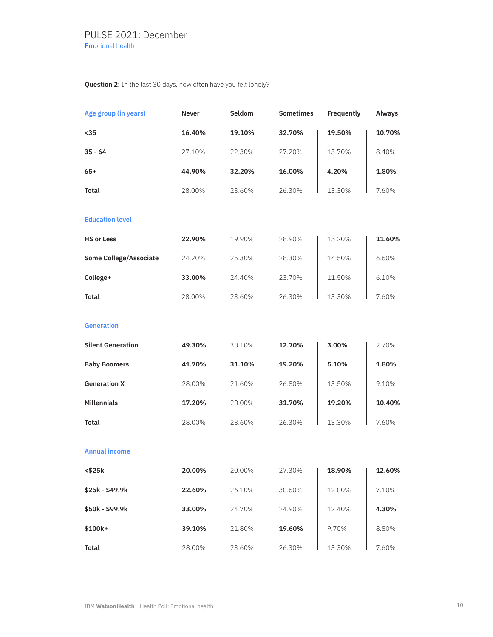#### **Question 2:** In the last 30 days, how often have you felt lonely?

| Age group (in years)          | Never  | Seldom | <b>Sometimes</b> | Frequently | Always |
|-------------------------------|--------|--------|------------------|------------|--------|
| $35$                          | 16.40% | 19.10% | 32.70%           | 19.50%     | 10.70% |
| $35 - 64$                     | 27.10% | 22.30% | 27.20%           | 13.70%     | 8.40%  |
| $65+$                         | 44.90% | 32.20% | 16.00%           | 4.20%      | 1.80%  |
| <b>Total</b>                  | 28.00% | 23.60% | 26.30%           | 13.30%     | 7.60%  |
| <b>Education level</b>        |        |        |                  |            |        |
| <b>HS or Less</b>             | 22.90% | 19.90% | 28.90%           | 15.20%     | 11.60% |
| <b>Some College/Associate</b> | 24.20% | 25.30% | 28.30%           | 14.50%     | 6.60%  |
| College+                      | 33.00% | 24.40% | 23.70%           | 11.50%     | 6.10%  |
| <b>Total</b>                  | 28.00% | 23.60% | 26.30%           | 13.30%     | 7.60%  |
| <b>Generation</b>             |        |        |                  |            |        |
| <b>Silent Generation</b>      | 49.30% | 30.10% | 12.70%           | 3.00%      | 2.70%  |
| <b>Baby Boomers</b>           | 41.70% | 31.10% | 19.20%           | 5.10%      | 1.80%  |
| <b>Generation X</b>           | 28.00% | 21.60% | 26.80%           | 13.50%     | 9.10%  |
| <b>Millennials</b>            | 17.20% | 20.00% | 31.70%           | 19.20%     | 10.40% |
| <b>Total</b>                  | 28.00% | 23.60% | 26.30%           | 13.30%     | 7.60%  |
| <b>Annual income</b>          |        |        |                  |            |        |
| <\$25k                        | 20.00% | 20.00% | 27.30%           | 18.90%     | 12.60% |
| \$25k - \$49.9k               | 22.60% | 26.10% | 30.60%           | 12.00%     | 7.10%  |
| \$50k - \$99.9k               | 33.00% | 24.70% | 24.90%           | 12.40%     | 4.30%  |
| $$100k+$                      | 39.10% | 21.80% | 19.60%           | 9.70%      | 8.80%  |
| Total                         | 28.00% | 23.60% | 26.30%           | 13.30%     | 7.60%  |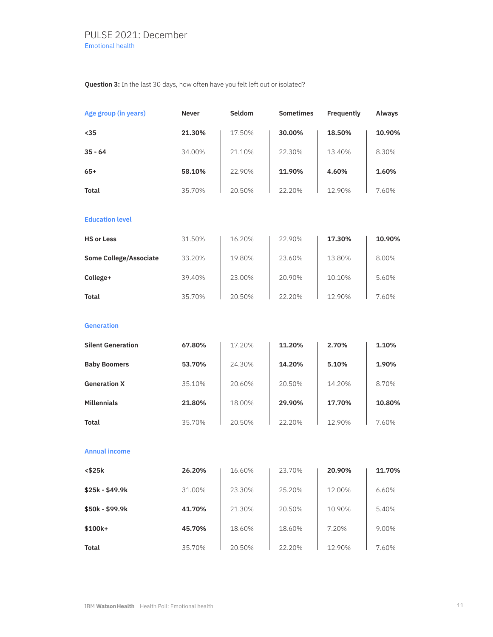#### **Question 3:** In the last 30 days, how often have you felt left out or isolated?

| Age group (in years)          | Never  | Seldom | <b>Sometimes</b> | Frequently | Always |
|-------------------------------|--------|--------|------------------|------------|--------|
| $35$                          | 21.30% | 17.50% | 30.00%           | 18.50%     | 10.90% |
| $35 - 64$                     | 34.00% | 21.10% | 22.30%           | 13.40%     | 8.30%  |
| $65+$                         | 58.10% | 22.90% | 11.90%           | 4.60%      | 1.60%  |
| <b>Total</b>                  | 35.70% | 20.50% | 22.20%           | 12.90%     | 7.60%  |
| <b>Education level</b>        |        |        |                  |            |        |
| <b>HS or Less</b>             | 31.50% | 16.20% | 22.90%           | 17.30%     | 10.90% |
| <b>Some College/Associate</b> | 33.20% | 19.80% | 23.60%           | 13.80%     | 8.00%  |
| College+                      | 39.40% | 23.00% | 20.90%           | 10.10%     | 5.60%  |
| <b>Total</b>                  | 35.70% | 20.50% | 22.20%           | 12.90%     | 7.60%  |
| <b>Generation</b>             |        |        |                  |            |        |
| <b>Silent Generation</b>      | 67.80% | 17.20% | 11.20%           | 2.70%      | 1.10%  |
| <b>Baby Boomers</b>           | 53.70% | 24.30% | 14.20%           | 5.10%      | 1.90%  |
| <b>Generation X</b>           | 35.10% | 20.60% | 20.50%           | 14.20%     | 8.70%  |
| <b>Millennials</b>            | 21.80% | 18.00% | 29.90%           | 17.70%     | 10.80% |
| <b>Total</b>                  | 35.70% | 20.50% | 22.20%           | 12.90%     | 7.60%  |
| <b>Annual income</b>          |        |        |                  |            |        |
| <\$25k                        | 26.20% | 16.60% | 23.70%           | 20.90%     | 11.70% |
| \$25k - \$49.9k               | 31.00% | 23.30% | 25.20%           | 12.00%     | 6.60%  |
| \$50k - \$99.9k               | 41.70% | 21.30% | 20.50%           | 10.90%     | 5.40%  |
| $$100k+$                      | 45.70% | 18.60% | 18.60%           | 7.20%      | 9.00%  |
| Total                         | 35.70% | 20.50% | 22.20%           | 12.90%     | 7.60%  |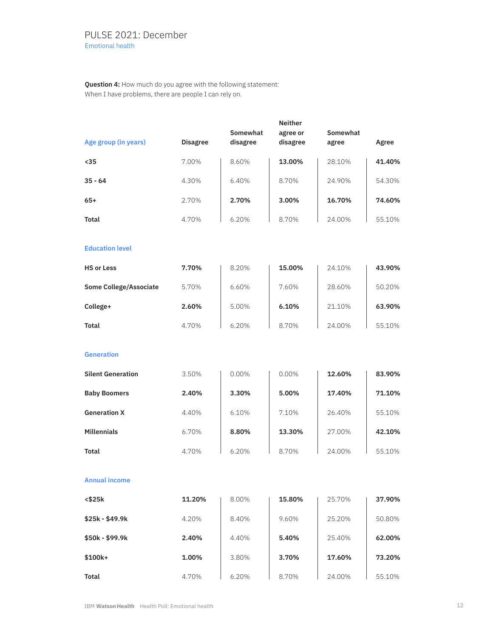**Question 4:** How much do you agree with the following statement: When I have problems, there are people I can rely on.

|                               |                 |          | <b>Neither</b> |          |        |
|-------------------------------|-----------------|----------|----------------|----------|--------|
|                               |                 | Somewhat | agree or       | Somewhat |        |
| Age group (in years)          | <b>Disagree</b> | disagree | disagree       | agree    | Agree  |
| $35$                          | 7.00%           | 8.60%    | 13.00%         | 28.10%   | 41.40% |
|                               |                 |          |                |          |        |
| $35 - 64$                     | 4.30%           | 6.40%    | 8.70%          | 24.90%   | 54.30% |
| $65+$                         | 2.70%           | 2.70%    | 3.00%          | 16.70%   | 74.60% |
|                               |                 |          |                |          |        |
| <b>Total</b>                  | 4.70%           | 6.20%    | 8.70%          | 24.00%   | 55.10% |
|                               |                 |          |                |          |        |
| <b>Education level</b>        |                 |          |                |          |        |
| <b>HS or Less</b>             | 7.70%           | 8.20%    | 15.00%         | 24.10%   | 43.90% |
|                               |                 |          |                |          |        |
| <b>Some College/Associate</b> | 5.70%           | 6.60%    | 7.60%          | 28.60%   | 50.20% |
| College+                      | 2.60%           | 5.00%    | 6.10%          | 21.10%   | 63.90% |
|                               |                 |          |                |          |        |
| <b>Total</b>                  | 4.70%           | 6.20%    | 8.70%          | 24.00%   | 55.10% |
|                               |                 |          |                |          |        |
| <b>Generation</b>             |                 |          |                |          |        |
| <b>Silent Generation</b>      | 3.50%           | 0.00%    | 0.00%          | 12.60%   | 83.90% |
|                               |                 |          |                |          |        |
| <b>Baby Boomers</b>           | 2.40%           | 3.30%    | 5.00%          | 17.40%   | 71.10% |
| <b>Generation X</b>           | 4.40%           | 6.10%    | 7.10%          | 26.40%   | 55.10% |
| <b>Millennials</b>            | 6.70%           | 8.80%    | 13.30%         | 27.00%   | 42.10% |
|                               |                 |          |                |          |        |
| <b>Total</b>                  | 4.70%           | 6.20%    | 8.70%          | 24.00%   | 55.10% |
|                               |                 |          |                |          |        |
| <b>Annual income</b>          |                 |          |                |          |        |
| $<$ \$25 $k$                  | 11.20%          | 8.00%    | 15.80%         | 25.70%   | 37.90% |
|                               |                 |          |                |          |        |
| \$25k - \$49.9k               | 4.20%           | 8.40%    | 9.60%          | 25.20%   | 50.80% |
| \$50k - \$99.9k               | 2.40%           | 4.40%    | 5.40%          | 25.40%   | 62.00% |
|                               |                 |          |                |          |        |
| \$100k+                       | 1.00%           | 3.80%    | 3.70%          | 17.60%   | 73.20% |
| Total                         | 4.70%           | 6.20%    | 8.70%          | 24.00%   | 55.10% |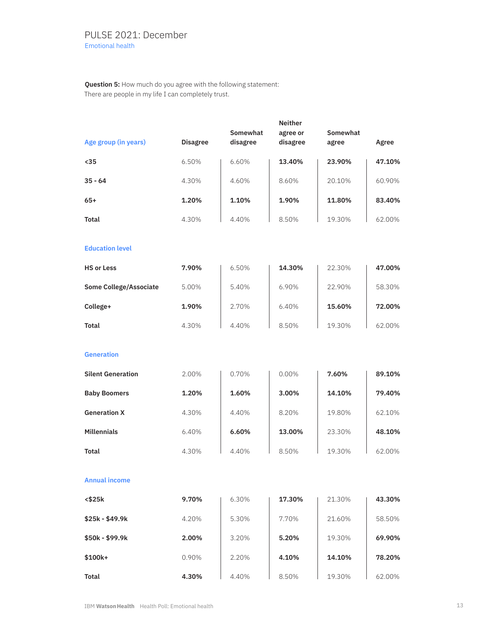**Question 5:** How much do you agree with the following statement: There are people in my life I can completely trust.

|                               |                 |          | <b>Neither</b> |          |        |
|-------------------------------|-----------------|----------|----------------|----------|--------|
|                               |                 | Somewhat | agree or       | Somewhat |        |
| Age group (in years)          | <b>Disagree</b> | disagree | disagree       | agree    | Agree  |
|                               |                 |          |                |          |        |
| $35$                          | 6.50%           | 6.60%    | 13.40%         | 23.90%   | 47.10% |
| $35 - 64$                     | 4.30%           | 4.60%    | 8.60%          | 20.10%   | 60.90% |
|                               |                 |          |                |          |        |
| $65+$                         | 1.20%           | 1.10%    | 1.90%          | 11.80%   | 83.40% |
|                               |                 |          |                |          |        |
| <b>Total</b>                  | 4.30%           | 4.40%    | 8.50%          | 19.30%   | 62.00% |
|                               |                 |          |                |          |        |
| <b>Education level</b>        |                 |          |                |          |        |
|                               |                 |          |                |          |        |
| <b>HS or Less</b>             | 7.90%           | 6.50%    | 14.30%         | 22.30%   | 47.00% |
| <b>Some College/Associate</b> | 5.00%           | 5.40%    | 6.90%          | 22.90%   | 58.30% |
|                               |                 |          |                |          |        |
| College+                      | 1.90%           | 2.70%    | 6.40%          | 15.60%   | 72.00% |
|                               |                 |          |                |          |        |
| <b>Total</b>                  | 4.30%           | 4.40%    | 8.50%          | 19.30%   | 62.00% |
|                               |                 |          |                |          |        |
| <b>Generation</b>             |                 |          |                |          |        |
|                               |                 |          |                |          |        |
| <b>Silent Generation</b>      | 2.00%           | 0.70%    | 0.00%          | 7.60%    | 89.10% |
|                               |                 |          |                |          |        |
| <b>Baby Boomers</b>           | 1.20%           | 1.60%    | 3.00%          | 14.10%   | 79.40% |
| <b>Generation X</b>           | 4.30%           | 4.40%    | 8.20%          | 19.80%   | 62.10% |
|                               |                 |          |                |          |        |
| <b>Millennials</b>            | 6.40%           | 6.60%    | 13.00%         | 23.30%   | 48.10% |
| <b>Total</b>                  | 4.30%           | 4.40%    | 8.50%          | 19.30%   | 62.00% |
|                               |                 |          |                |          |        |
|                               |                 |          |                |          |        |
| <b>Annual income</b>          |                 |          |                |          |        |
|                               |                 |          |                |          |        |
| $<$ \$25 $k$                  | 9.70%           | 6.30%    | 17.30%         | 21.30%   | 43.30% |
| \$25k - \$49.9k               | 4.20%           | 5.30%    | 7.70%          | 21.60%   | 58.50% |
|                               |                 |          |                |          |        |
| \$50k - \$99.9k               | 2.00%           | 3.20%    | 5.20%          | 19.30%   | 69.90% |
|                               |                 |          |                |          | 78.20% |
| \$100k+                       | 0.90%           | 2.20%    | 4.10%          | 14.10%   |        |
| <b>Total</b>                  | 4.30%           | 4.40%    | 8.50%          | 19.30%   | 62.00% |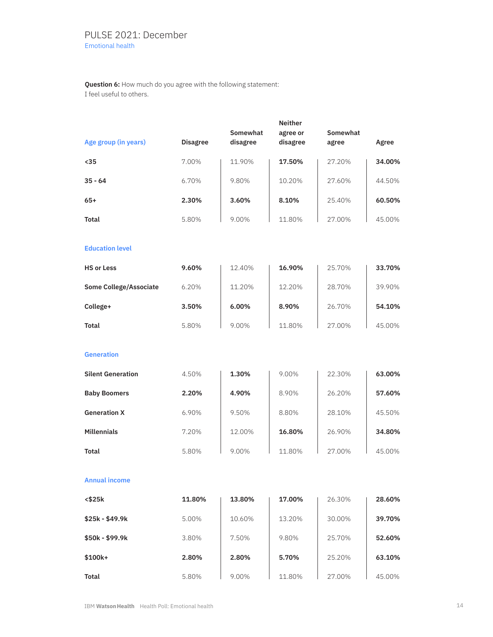**Question 6:** How much do you agree with the following statement: I feel useful to others.

|                               |                 |                 | <b>Neither</b> |                 |        |
|-------------------------------|-----------------|-----------------|----------------|-----------------|--------|
|                               |                 | <b>Somewhat</b> | agree or       | <b>Somewhat</b> |        |
| Age group (in years)          | <b>Disagree</b> | disagree        | disagree       | agree           | Agree  |
|                               |                 |                 |                |                 |        |
| $35$                          | 7.00%           | 11.90%          | 17.50%         | 27.20%          | 34.00% |
|                               |                 |                 |                |                 |        |
| $35 - 64$                     | 6.70%           | 9.80%           | 10.20%         | 27.60%          | 44.50% |
|                               |                 |                 |                |                 |        |
| $65+$                         | 2.30%           | 3.60%           | 8.10%          | 25.40%          | 60.50% |
| <b>Total</b>                  | 5.80%           | 9.00%           | 11.80%         |                 |        |
|                               |                 |                 |                | 27.00%          | 45.00% |
|                               |                 |                 |                |                 |        |
| <b>Education level</b>        |                 |                 |                |                 |        |
|                               |                 |                 |                |                 |        |
| <b>HS or Less</b>             | 9.60%           | 12.40%          | 16.90%         | 25.70%          | 33.70% |
|                               |                 |                 |                |                 |        |
| <b>Some College/Associate</b> | 6.20%           | 11.20%          | 12.20%         | 28.70%          | 39.90% |
|                               |                 |                 |                |                 |        |
| College+                      | 3.50%           | 6.00%           | 8.90%          | 26.70%          | 54.10% |
|                               |                 |                 |                |                 |        |
| <b>Total</b>                  | 5.80%           | 9.00%           | 11.80%         | 27.00%          | 45.00% |
|                               |                 |                 |                |                 |        |
|                               |                 |                 |                |                 |        |
| <b>Generation</b>             |                 |                 |                |                 |        |
| <b>Silent Generation</b>      |                 |                 |                |                 |        |
|                               | 4.50%           | 1.30%           | 9.00%          | 22.30%          | 63.00% |
| <b>Baby Boomers</b>           | 2.20%           | 4.90%           | 8.90%          | 26.20%          | 57.60% |
|                               |                 |                 |                |                 |        |
| <b>Generation X</b>           | 6.90%           | 9.50%           | 8.80%          | 28.10%          | 45.50% |
|                               |                 |                 |                |                 |        |
| <b>Millennials</b>            | 7.20%           | 12.00%          | 16.80%         | 26.90%          | 34.80% |
|                               |                 |                 |                |                 |        |
| <b>Total</b>                  | 5.80%           | 9.00%           | 11.80%         | 27.00%          | 45.00% |
|                               |                 |                 |                |                 |        |
|                               |                 |                 |                |                 |        |
| <b>Annual income</b>          |                 |                 |                |                 |        |
|                               |                 |                 |                |                 |        |
| $<$ \$25 $k$                  | 11.80%          | 13.80%          | 17.00%         | 26.30%          | 28.60% |
| \$25k - \$49.9k               | 5.00%           | 10.60%          | 13.20%         | 30.00%          | 39.70% |
|                               |                 |                 |                |                 |        |
| \$50k - \$99.9k               | 3.80%           | 7.50%           | 9.80%          | 25.70%          | 52.60% |
|                               |                 |                 |                |                 |        |
| \$100k+                       | 2.80%           | 2.80%           | 5.70%          | 25.20%          | 63.10% |
|                               |                 |                 |                |                 |        |
| <b>Total</b>                  | 5.80%           | 9.00%           | 11.80%         | 27.00%          | 45.00% |